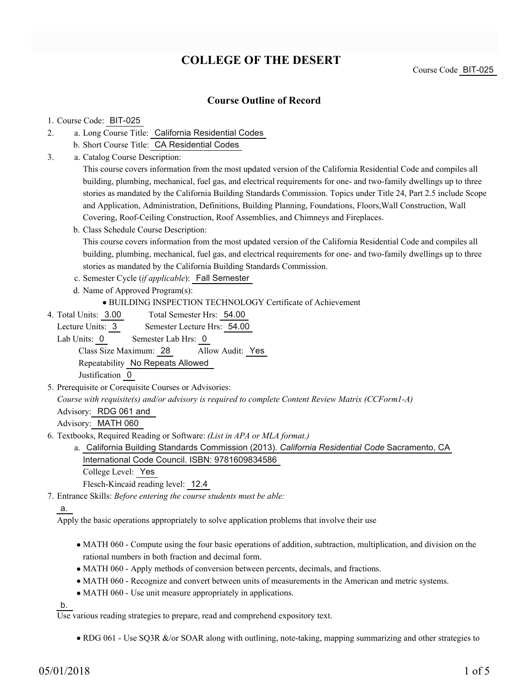# **COLLEGE OF THE DESERT**

Course Code BIT-025

### **Course Outline of Record**

#### 1. Course Code: BIT-025

- a. Long Course Title: California Residential Codes 2.
	- b. Short Course Title: CA Residential Codes
- Catalog Course Description: a. 3.

This course covers information from the most updated version of the California Residential Code and compiles all building, plumbing, mechanical, fuel gas, and electrical requirements for one- and two-family dwellings up to three stories as mandated by the California Building Standards Commission. Topics under Title 24, Part 2.5 include Scope and Application, Administration, Definitions, Building Planning, Foundations, Floors,Wall Construction, Wall Covering, Roof-Ceiling Construction, Roof Assemblies, and Chimneys and Fireplaces.

b. Class Schedule Course Description:

This course covers information from the most updated version of the California Residential Code and compiles all building, plumbing, mechanical, fuel gas, and electrical requirements for one- and two-family dwellings up to three stories as mandated by the California Building Standards Commission.

- c. Semester Cycle (*if applicable*): Fall Semester
- d. Name of Approved Program(s):

BUILDING INSPECTION TECHNOLOGY Certificate of Achievement

Total Semester Hrs: 54.00 4. Total Units: 3.00

Lecture Units: 3 Semester Lecture Hrs: 54.00

Lab Units: 0 Semester Lab Hrs: 0

Class Size Maximum: 28 Allow Audit: Yes

Repeatability No Repeats Allowed

Justification 0

5. Prerequisite or Corequisite Courses or Advisories:

*Course with requisite(s) and/or advisory is required to complete Content Review Matrix (CCForm1-A)*

Advisory: RDG 061 and

Advisory: MATH 060

- Textbooks, Required Reading or Software: *(List in APA or MLA format.)* 6.
	- a. California Building Standards Commission (2013). *California Residential Code* Sacramento, CA International Code Council. ISBN: 9781609834586 College Level: Yes

Flesch-Kincaid reading level: 12.4

Entrance Skills: *Before entering the course students must be able:* 7.

a.

Apply the basic operations appropriately to solve application problems that involve their use

- MATH 060 Compute using the four basic operations of addition, subtraction, multiplication, and division on the rational numbers in both fraction and decimal form.
- MATH 060 Apply methods of conversion between percents, decimals, and fractions.
- MATH 060 Recognize and convert between units of measurements in the American and metric systems.
- MATH 060 Use unit measure appropriately in applications.

b.

Use various reading strategies to prepare, read and comprehend expository text.

• RDG 061 - Use SQ3R &/or SOAR along with outlining, note-taking, mapping summarizing and other strategies to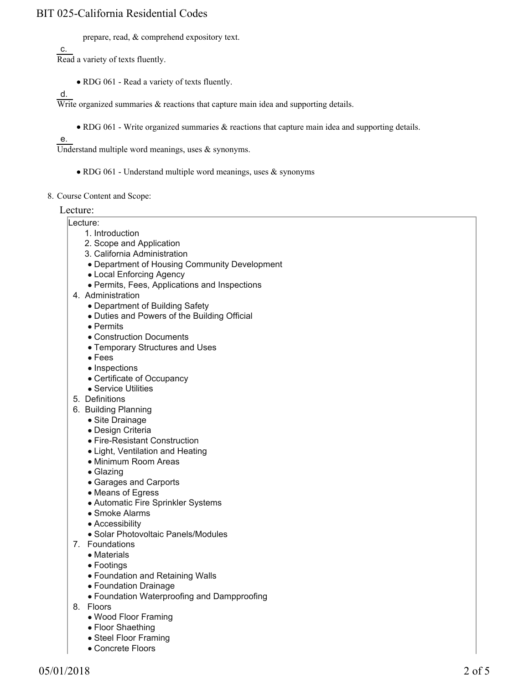### BIT 025-California Residential Codes

prepare, read, & comprehend expository text.

c. Read a variety of texts fluently.

• RDG 061 - Read a variety of texts fluently.

d.

Write organized summaries  $\&$  reactions that capture main idea and supporting details.

RDG 061 - Write organized summaries & reactions that capture main idea and supporting details.

e.

Understand multiple word meanings, uses & synonyms.

- RDG 061 Understand multiple word meanings, uses & synonyms
- 8. Course Content and Scope:

Lecture:

- Lecture:
	- 1. Introduction
	- 2. Scope and Application
	- 3. California Administration
	- Department of Housing Community Development
	- Local Enforcing Agency
	- Permits, Fees, Applications and Inspections
- 4. Administration
	- Department of Building Safety
	- Duties and Powers of the Building Official
	- Permits
	- Construction Documents
	- Temporary Structures and Uses
	- Fees
	- Inspections
	- Certificate of Occupancy
	- Service Utilities
- 5. Definitions
- 6. Building Planning
	- Site Drainage
	- Design Criteria
	- Fire-Resistant Construction
	- Light, Ventilation and Heating
	- Minimum Room Areas
	- Glazing
	- Garages and Carports
	- Means of Egress
	- Automatic Fire Sprinkler Systems
	- Smoke Alarms
	- Accessibility
	- Solar Photovoltaic Panels/Modules
- 7. Foundations
	- Materials
	- Footings
	- Foundation and Retaining Walls
	- Foundation Drainage
	- Foundation Waterproofing and Dampproofing
- 8. Floors
	- Wood Floor Framing
	- Floor Shaething
	- Steel Floor Framing
	- Concrete Floors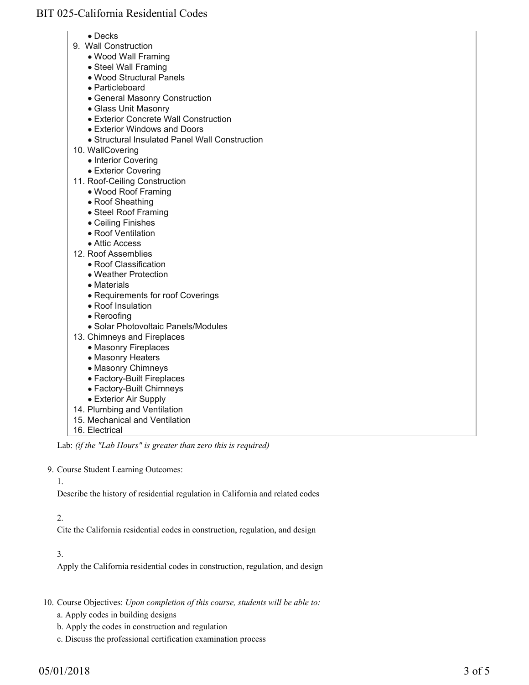# BIT 025-California Residential Codes

- Decks
- 9. Wall Construction
	- Wood Wall Framing
	- Steel Wall Framing
	- Wood Structural Panels
	- Particleboard
	- General Masonry Construction
	- Glass Unit Masonry
	- Exterior Concrete Wall Construction
	- Exterior Windows and Doors
	- Structural Insulated Panel Wall Construction
- 10. WallCovering
	- Interior Covering
	- Exterior Covering
- 11. Roof-Ceiling Construction
	- Wood Roof Framing
	- Roof Sheathing
	- Steel Roof Framing
	- Ceiling Finishes
	- Roof Ventilation
	- Attic Access
- 12. Roof Assemblies
	- Roof Classification
	- Weather Protection
	- Materials
	- Requirements for roof Coverings
	- Roof Insulation
	- Reroofing
	- Solar Photovoltaic Panels/Modules
- 13. Chimneys and Fireplaces
	- Masonry Fireplaces
	- Masonry Heaters
	- Masonry Chimneys
	- Factory-Built Fireplaces
	- Factory-Built Chimneys
	- Exterior Air Supply
- 14. Plumbing and Ventilation
- 15. Mechanical and Ventilation
- 16. Electrical

Lab: *(if the "Lab Hours" is greater than zero this is required)*

9. Course Student Learning Outcomes:

#### 1.

Describe the history of residential regulation in California and related codes

## 2.

Cite the California residential codes in construction, regulation, and design

# 3.

Apply the California residential codes in construction, regulation, and design

10. Course Objectives: Upon completion of this course, students will be able to:

- a. Apply codes in building designs
- b. Apply the codes in construction and regulation
- c. Discuss the professional certification examination process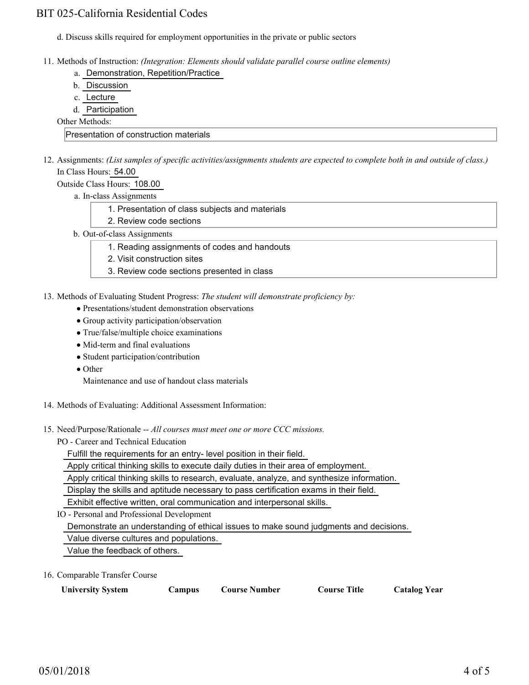## BIT 025-California Residential Codes

- d. Discuss skills required for employment opportunities in the private or public sectors
- Methods of Instruction: *(Integration: Elements should validate parallel course outline elements)* 11.
	- a. Demonstration, Repetition/Practice
	- b. Discussion
	- c. Lecture
	- d. Participation

Other Methods:

Presentation of construction materials

12. Assignments: (List samples of specific activities/assignments students are expected to complete both in and outside of class.) In Class Hours: 54.00

Outside Class Hours: 108.00

- a. In-class Assignments
	- 1. Presentation of class subjects and materials
	- 2. Review code sections
- b. Out-of-class Assignments
	- 1. Reading assignments of codes and handouts
	- 2. Visit construction sites
	- 3. Review code sections presented in class
- 13. Methods of Evaluating Student Progress: The student will demonstrate proficiency by:
	- Presentations/student demonstration observations
	- Group activity participation/observation
	- True/false/multiple choice examinations
	- Mid-term and final evaluations
	- Student participation/contribution
	- Other

Maintenance and use of handout class materials

- 14. Methods of Evaluating: Additional Assessment Information:
- 15. Need/Purpose/Rationale -- All courses must meet one or more CCC missions.
	- PO Career and Technical Education

Fulfill the requirements for an entry- level position in their field.

Apply critical thinking skills to execute daily duties in their area of employment.

Apply critical thinking skills to research, evaluate, analyze, and synthesize information.

Display the skills and aptitude necessary to pass certification exams in their field.

Exhibit effective written, oral communication and interpersonal skills.

IO - Personal and Professional Development

Demonstrate an understanding of ethical issues to make sound judgments and decisions.

Value diverse cultures and populations.

Value the feedback of others.

16. Comparable Transfer Course

| <b>University System</b> | Campus | <b>Course Number</b> | <b>Course Title</b> | <b>Catalog Year</b> |
|--------------------------|--------|----------------------|---------------------|---------------------|
|--------------------------|--------|----------------------|---------------------|---------------------|